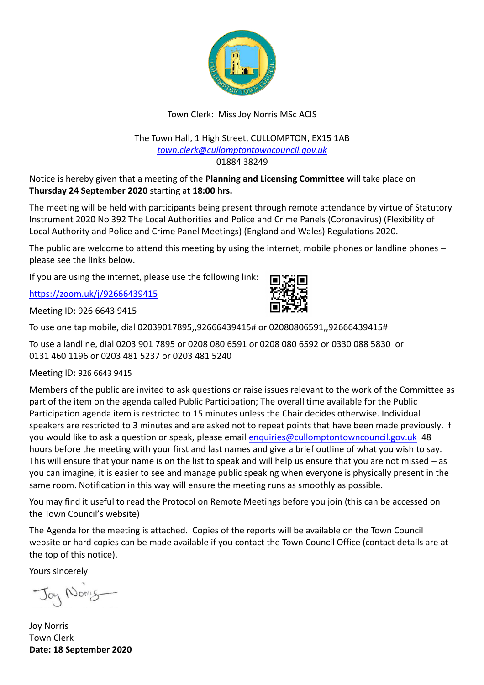

# Town Clerk: Miss Joy Norris MSc ACIS

### The Town Hall, 1 High Street, CULLOMPTON, EX15 1AB *[town.clerk@cullomptontowncouncil.gov.uk](mailto:town.clerk@cullomptontowncouncil.gov.uk)* 01884 38249

Notice is hereby given that a meeting of the **Planning and Licensing Committee** will take place on **Thursday 24 September 2020** starting at **18:00 hrs.**

The meeting will be held with participants being present through remote attendance by virtue of Statutory Instrument 2020 No 392 The Local Authorities and Police and Crime Panels (Coronavirus) (Flexibility of Local Authority and Police and Crime Panel Meetings) (England and Wales) Regulations 2020.

The public are welcome to attend this meeting by using the internet, mobile phones or landline phones – please see the links below.

If you are using the internet, please use the following link:

<https://zoom.uk/j/92666439415>

Meeting ID: 926 6643 9415



To use a landline, dial 0203 901 7895 or 0208 080 6591 or 0208 080 6592 or 0330 088 5830 or 0131 460 1196 or 0203 481 5237 or 0203 481 5240

Meeting ID: 926 6643 9415

Members of the public are invited to ask questions or raise issues relevant to the work of the Committee as part of the item on the agenda called Public Participation; The overall time available for the Public Participation agenda item is restricted to 15 minutes unless the Chair decides otherwise. Individual speakers are restricted to 3 minutes and are asked not to repeat points that have been made previously. If you would like to ask a question or speak, please email [enquiries@cullomptontowncouncil.gov.uk](mailto:enquiries@cullomptontowncouncil.gov.uk) 48 hours before the meeting with your first and last names and give a brief outline of what you wish to say. This will ensure that your name is on the list to speak and will help us ensure that you are not missed – as you can imagine, it is easier to see and manage public speaking when everyone is physically present in the same room. Notification in this way will ensure the meeting runs as smoothly as possible.

You may find it useful to read the Protocol on Remote Meetings before you join (this can be accessed on the Town Council's website)

The Agenda for the meeting is attached. Copies of the reports will be available on the Town Council website or hard copies can be made available if you contact the Town Council Office (contact details are at the top of this notice).

Yours sincerely

Jay Norry

Joy Norris Town Clerk **Date: 18 September 2020**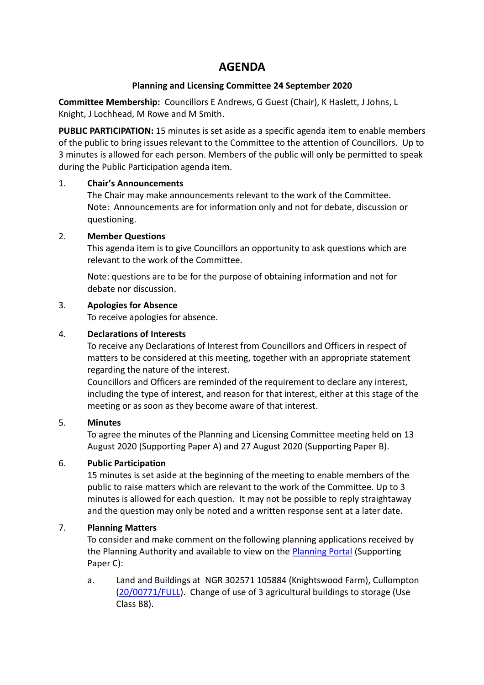# **AGENDA**

## **Planning and Licensing Committee 24 September 2020**

**Committee Membership:** Councillors E Andrews, G Guest (Chair), K Haslett, J Johns, L Knight, J Lochhead, M Rowe and M Smith.

**PUBLIC PARTICIPATION:** 15 minutes is set aside as a specific agenda item to enable members of the public to bring issues relevant to the Committee to the attention of Councillors. Up to 3 minutes is allowed for each person. Members of the public will only be permitted to speak during the Public Participation agenda item.

### 1. **Chair's Announcements**

The Chair may make announcements relevant to the work of the Committee. Note: Announcements are for information only and not for debate, discussion or questioning.

### 2. **Member Questions**

This agenda item is to give Councillors an opportunity to ask questions which are relevant to the work of the Committee.

Note: questions are to be for the purpose of obtaining information and not for debate nor discussion.

### 3. **Apologies for Absence**

To receive apologies for absence.

### 4. **Declarations of Interests**

To receive any Declarations of Interest from Councillors and Officers in respect of matters to be considered at this meeting, together with an appropriate statement regarding the nature of the interest.

Councillors and Officers are reminded of the requirement to declare any interest, including the type of interest, and reason for that interest, either at this stage of the meeting or as soon as they become aware of that interest.

#### 5. **Minutes**

To agree the minutes of the Planning and Licensing Committee meeting held on 13 August 2020 (Supporting Paper A) and 27 August 2020 (Supporting Paper B).

## 6. **Public Participation**

15 minutes is set aside at the beginning of the meeting to enable members of the public to raise matters which are relevant to the work of the Committee. Up to 3 minutes is allowed for each question. It may not be possible to reply straightaway and the question may only be noted and a written response sent at a later date.

## 7. **Planning Matters**

To consider and make comment on the following planning applications received by the Planning Authority and available to view on the [Planning Portal](https://planning.middevon.gov.uk/online-applications/applicationDetails.do?activeTab=documents&keyVal=QEYF1XKS05K00) (Supporting Paper C):

a. Land and Buildings at NGR 302571 105884 (Knightswood Farm), Cullompton [\(20/00771/FULL\)](https://planning.middevon.gov.uk/online-applications/applicationDetails.do?activeTab=documents&keyVal=QAZI2UKS07T00). Change of use of 3 agricultural buildings to storage (Use Class B8).